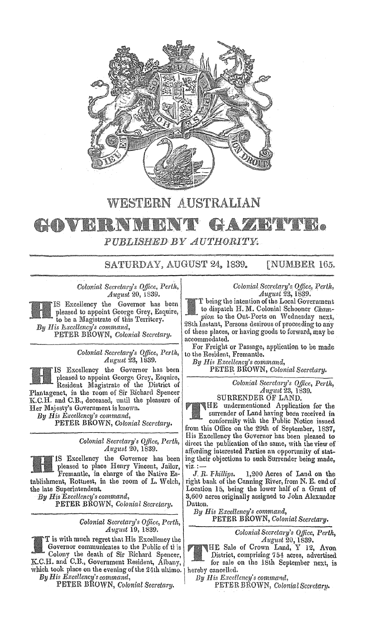

## WESTERN AUSTRALIAN

## **AWENT REAL** 20 V B R.I PUBLISHED BY AUTHORITY.

SATURDAY, AUGUST 24, 1839. [NUMBER 165.

*Colonial Secretary's Office, Perth, August* 20, 1839.

IS Excellency the Governor has been pleased to appoint George Grey, Esquire, to be a Magistrate of this Territory. *By His B.xcellency's command,* 

PETER BROWN, *Colonial Secretary.* 

Colonial Secretary's Office, Perth, *August 23, 1839.* 

IS Excellency the Governor has been pleased to appoint George Grey, Esquire, Resident Magistrate of the District of Plantagenet, in the room of Sir Richard Spencer K.C.H. and C.B., deceased, until the pleasure of Her Majesty's Government is known.

*By His E,ccellency's command,*  PETER BROWN, *Colonial Secretary.* 

> *Colonial Secretary's Office, Perth, August* 20, 1839.

IS Excellency the Governor has been pleased to place Henry Vincent, Jailor, Fremantle, in charge of the Native Establishment, Rottnest, in the room of L. Welch, the late Superintendent.

*By His Exci!llency' s command,*  PETER BROWN, *Colonial Secretary.* 

*Colonial Secretary's Office, Perth,* 

T is with much regret that His Excellency the K.C.H. and C.B., Government Resident, Albany, for sale on the 18th September next, is which took place on the evening of the 24th ultimo. hereby cancelled.<br>By His Excellency's command,  $By$  His Excell

*By His Excellency's command, By His Kccellellcy's command,* 

*Colonial Secretary'a, Office, August* 23, 1839.

T being the intention of the Local Government to dispatch H. M. Colonial Schooner Cham*pion* to the Out-Ports on Wednesday next. 28th Instant, Persons desirous of proceeding to any of these places, or having goods to forward, may accommodated.

For Freight or Passage, application to be made to the Resident, Fremantle.

*By His Excellency's command,*  PETER. BROWN, *Colonial Secretary.* 

> *Colonial Secretary's Office, Perth, August* 23, 1839.

SURRENDER OF LAND.

HE undermentioned Application for the surrender of Land having been received in conformity with the Public Notice issued from this Office on the 29th of September, 1837, His Excellency the Governor has been pleased to direct the publication of the same, with the view of affording interested Parties an opportunity of stating their objections to such Surrender being made,

 $\overrightarrow{viz} := \overrightarrow{J}$ . R. Fhillips. J. *R. fhillips.* 1,200 Acres of Land on the right bank of the Canning River, from N. E. end of Location 15, being the lower half of a Grant of 3,600 acres originally assigned to John Alexander Dutton.

*By His Excellency'S command,*  PETER BROWN, *Colonial Secretary.* 

*Colonial Secretary's Office, Perth,*<br>*August 20,* 1839.<br>HE Sale of Crown Land, Y 12, Avon

Governor communicates to the Public of this HE Sale of Crown Land, Y 12, Avon Colony the death of Sir Richard Spencer, Colony the death of Sir Richard Spencer, District, comprising 754 acres, advertised

PETER BROWN, *Colonial Secretary.* PETER BROWN, *Colonial Secretary.*